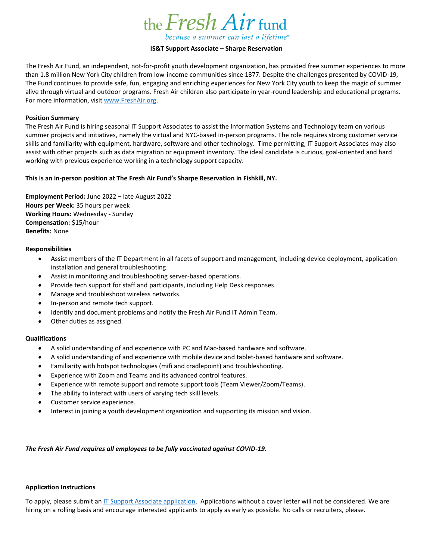

# **IS&T Support Associate – Sharpe Reservation**

The Fresh Air Fund, an independent, not-for-profit youth development organization, has provided free summer experiences to more than 1.8 million New York City children from low-income communities since 1877. Despite the challenges presented by COVID-19, The Fund continues to provide safe, fun, engaging and enriching experiences for New York City youth to keep the magic of summer alive through virtual and outdoor programs. Fresh Air children also participate in year-round leadership and educational programs. For more information, visit [www.FreshAir.org.](http://www.freshair.org/)

### **Position Summary**

The Fresh Air Fund is hiring seasonal IT Support Associates to assist the Information Systems and Technology team on various summer projects and initiatives, namely the virtual and NYC-based in-person programs. The role requires strong customer service skills and familiarity with equipment, hardware, software and other technology. Time permitting, IT Support Associates may also assist with other projects such as data migration or equipment inventory. The ideal candidate is curious, goal-oriented and hard working with previous experience working in a technology support capacity.

## **This is an in-person position at The Fresh Air Fund's Sharpe Reservation in Fishkill, NY.**

**Employment Period:** June 2022 – late August 2022 **Hours per Week:** 35 hours per week **Working Hours:** Wednesday - Sunday **Compensation:** \$15/hour **Benefits:** None

#### **Responsibilities**

- Assist members of the IT Department in all facets of support and management, including device deployment, application installation and general troubleshooting.
- Assist in monitoring and troubleshooting server-based operations.
- Provide tech support for staff and participants, including Help Desk responses.
- Manage and troubleshoot wireless networks.
- In-person and remote tech support.
- Identify and document problems and notify the Fresh Air Fund IT Admin Team.
- Other duties as assigned.

## **Qualifications**

- A solid understanding of and experience with PC and Mac-based hardware and software.
- A solid understanding of and experience with mobile device and tablet-based hardware and software.
- Familiarity with hotspot technologies (mifi and cradlepoint) and troubleshooting.
- Experience with Zoom and Teams and its advanced control features.
- Experience with remote support and remote support tools (Team Viewer/Zoom/Teams).
- The ability to interact with users of varying tech skill levels.
- Customer service experience.
- Interest in joining a youth development organization and supporting its mission and vision.

## *The Fresh Air Fund requires all employees to be fully vaccinated against COVID-19.*

## **Application Instructions**

To apply, please submit a[n IT Support Associate application.](https://workforcenow.adp.com/mascsr/default/mdf/recruitment/recruitment.html?cid=6e98cf2d-6d8c-4805-9695-9ed4ce6f548e&ccId=19000101_000001&jobId=455537&source=CC2&lang=en_US&selectedMenuKey=CareerCenter) Applications without a cover letter will not be considered. We are hiring on a rolling basis and encourage interested applicants to apply as early as possible. No calls or recruiters, please.